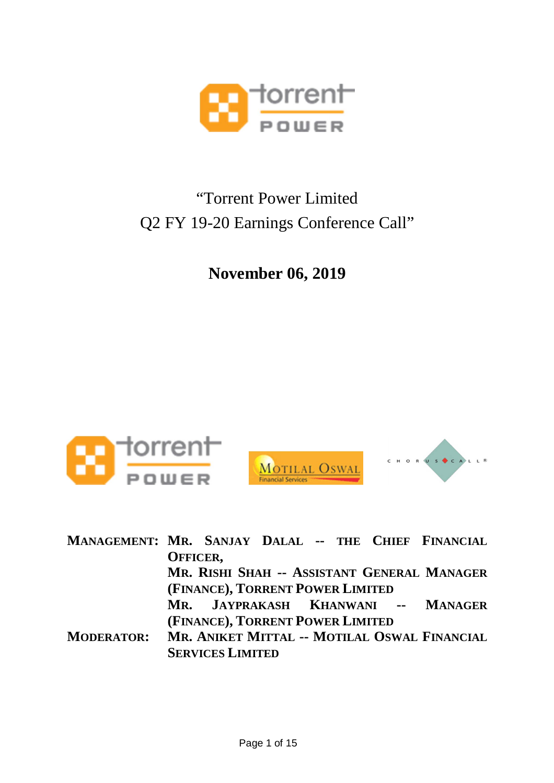

## "Torrent Power Limited Q2 FY 19-20 Earnings Conference Call"

**November 06, 2019**



| MANAGEMENT: MR. SANJAY DALAL -- THE CHIEF FINANCIAL |                                  |  |  |                                              |
|-----------------------------------------------------|----------------------------------|--|--|----------------------------------------------|
|                                                     | OFFICER,                         |  |  |                                              |
|                                                     |                                  |  |  | MR. RISHI SHAH -- ASSISTANT GENERAL MANAGER  |
|                                                     | (FINANCE), TORRENT POWER LIMITED |  |  |                                              |
|                                                     |                                  |  |  | MR. JAYPRAKASH KHANWANI -- MANAGER           |
|                                                     | (FINANCE), TORRENT POWER LIMITED |  |  |                                              |
| <b>MODERATOR:</b>                                   |                                  |  |  | MR. ANIKET MITTAL -- MOTILAL OSWAL FINANCIAL |
|                                                     | <b>SERVICES LIMITED</b>          |  |  |                                              |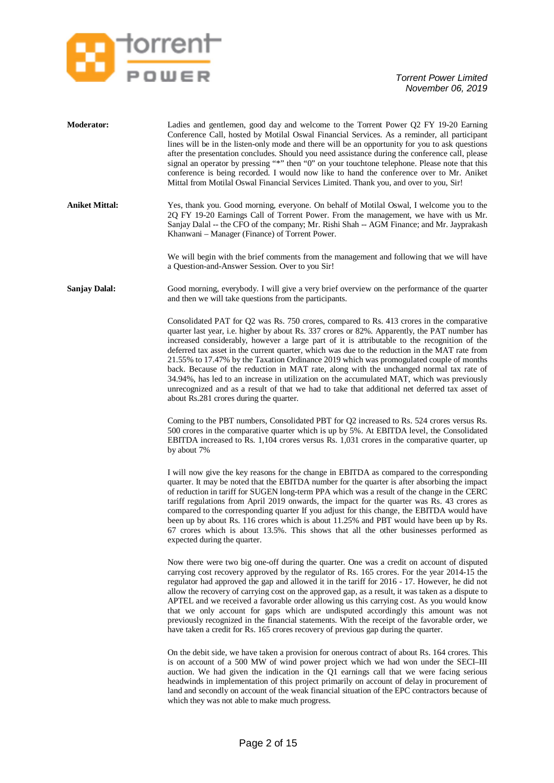

| <b>Moderator:</b>     | Ladies and gentlemen, good day and welcome to the Torrent Power Q2 FY 19-20 Earning<br>Conference Call, hosted by Motilal Oswal Financial Services. As a reminder, all participant<br>lines will be in the listen-only mode and there will be an opportunity for you to ask questions<br>after the presentation concludes. Should you need assistance during the conference call, please<br>signal an operator by pressing "*" then "0" on your touchtone telephone. Please note that this<br>conference is being recorded. I would now like to hand the conference over to Mr. Aniket<br>Mittal from Motilal Oswal Financial Services Limited. Thank you, and over to you, Sir!                                                                                                                                             |
|-----------------------|------------------------------------------------------------------------------------------------------------------------------------------------------------------------------------------------------------------------------------------------------------------------------------------------------------------------------------------------------------------------------------------------------------------------------------------------------------------------------------------------------------------------------------------------------------------------------------------------------------------------------------------------------------------------------------------------------------------------------------------------------------------------------------------------------------------------------|
| <b>Aniket Mittal:</b> | Yes, thank you. Good morning, everyone. On behalf of Motilal Oswal, I welcome you to the<br>2Q FY 19-20 Earnings Call of Torrent Power. From the management, we have with us Mr.<br>Sanjay Dalal -- the CFO of the company; Mr. Rishi Shah -- AGM Finance; and Mr. Jayprakash<br>Khanwani – Manager (Finance) of Torrent Power.                                                                                                                                                                                                                                                                                                                                                                                                                                                                                              |
|                       | We will begin with the brief comments from the management and following that we will have<br>a Question-and-Answer Session. Over to you Sir!                                                                                                                                                                                                                                                                                                                                                                                                                                                                                                                                                                                                                                                                                 |
| <b>Sanjay Dalal:</b>  | Good morning, everybody. I will give a very brief overview on the performance of the quarter<br>and then we will take questions from the participants.                                                                                                                                                                                                                                                                                                                                                                                                                                                                                                                                                                                                                                                                       |
|                       | Consolidated PAT for Q2 was Rs. 750 crores, compared to Rs. 413 crores in the comparative<br>quarter last year, i.e. higher by about Rs. 337 crores or 82%. Apparently, the PAT number has<br>increased considerably, however a large part of it is attributable to the recognition of the<br>deferred tax asset in the current quarter, which was due to the reduction in the MAT rate from<br>21.55% to 17.47% by the Taxation Ordinance 2019 which was promogulated couple of months<br>back. Because of the reduction in MAT rate, along with the unchanged normal tax rate of<br>34.94%, has led to an increase in utilization on the accumulated MAT, which was previously<br>unrecognized and as a result of that we had to take that additional net deferred tax asset of<br>about Rs.281 crores during the quarter. |
|                       | Coming to the PBT numbers, Consolidated PBT for Q2 increased to Rs. 524 crores versus Rs.<br>500 crores in the comparative quarter which is up by 5%. At EBITDA level, the Consolidated<br>EBITDA increased to Rs. 1,104 crores versus Rs. 1,031 crores in the comparative quarter, up<br>by about 7%                                                                                                                                                                                                                                                                                                                                                                                                                                                                                                                        |
|                       | I will now give the key reasons for the change in EBITDA as compared to the corresponding<br>quarter. It may be noted that the EBITDA number for the quarter is after absorbing the impact<br>of reduction in tariff for SUGEN long-term PPA which was a result of the change in the CERC<br>tariff regulations from April 2019 onwards, the impact for the quarter was Rs. 43 crores as<br>compared to the corresponding quarter If you adjust for this change, the EBITDA would have<br>been up by about Rs. 116 crores which is about 11.25% and PBT would have been up by Rs.<br>67 crores which is about 13.5%. This shows that all the other businesses performed as<br>expected during the quarter.                                                                                                                   |
|                       | Now there were two big one-off during the quarter. One was a credit on account of disputed<br>carrying cost recovery approved by the regulator of Rs. 165 crores. For the year 2014-15 the<br>regulator had approved the gap and allowed it in the tariff for 2016 - 17. However, he did not<br>allow the recovery of carrying cost on the approved gap, as a result, it was taken as a dispute to<br>APTEL and we received a favorable order allowing us this carrying cost. As you would know<br>that we only account for gaps which are undisputed accordingly this amount was not<br>previously recognized in the financial statements. With the receipt of the favorable order, we<br>have taken a credit for Rs. 165 crores recovery of previous gap during the quarter.                                               |
|                       | On the debit side, we have taken a provision for onerous contract of about Rs. 164 crores. This<br>is on account of a 500 MW of wind power project which we had won under the SECI-III<br>auction. We had given the indication in the Q1 earnings call that we were facing serious<br>headwinds in implementation of this project primarily on account of delay in procurement of<br>land and secondly on account of the weak financial situation of the EPC contractors because of<br>which they was not able to make much progress.                                                                                                                                                                                                                                                                                        |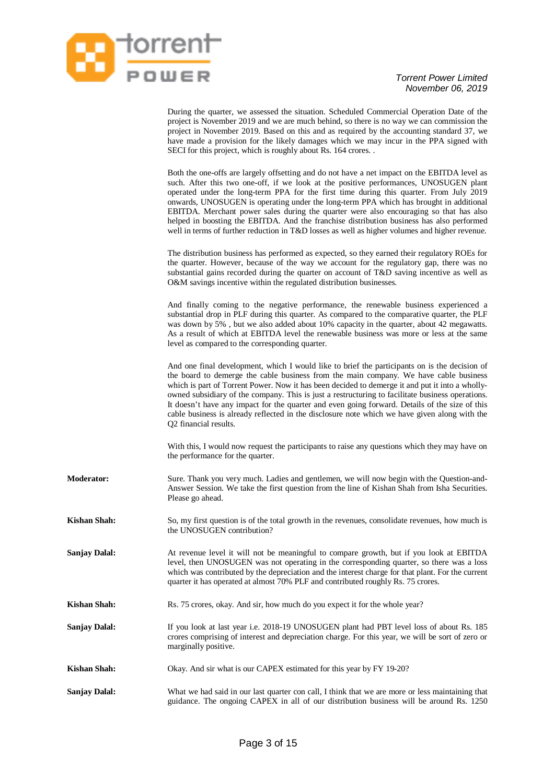

During the quarter, we assessed the situation. Scheduled Commercial Operation Date of the project is November 2019 and we are much behind, so there is no way we can commission the project in November 2019. Based on this and as required by the accounting standard 37, we have made a provision for the likely damages which we may incur in the PPA signed with SECI for this project, which is roughly about Rs. 164 crores. .

Both the one-offs are largely offsetting and do not have a net impact on the EBITDA level as such. After this two one-off, if we look at the positive performances, UNOSUGEN plant operated under the long-term PPA for the first time during this quarter. From July 2019 onwards, UNOSUGEN is operating under the long-term PPA which has brought in additional EBITDA. Merchant power sales during the quarter were also encouraging so that has also helped in boosting the EBITDA. And the franchise distribution business has also performed well in terms of further reduction in T&D losses as well as higher volumes and higher revenue.

The distribution business has performed as expected, so they earned their regulatory ROEs for the quarter. However, because of the way we account for the regulatory gap, there was no substantial gains recorded during the quarter on account of T&D saving incentive as well as O&M savings incentive within the regulated distribution businesses.

And finally coming to the negative performance, the renewable business experienced a substantial drop in PLF during this quarter. As compared to the comparative quarter, the PLF was down by 5% , but we also added about 10% capacity in the quarter, about 42 megawatts. As a result of which at EBITDA level the renewable business was more or less at the same level as compared to the corresponding quarter.

And one final development, which I would like to brief the participants on is the decision of the board to demerge the cable business from the main company. We have cable business which is part of Torrent Power. Now it has been decided to demerge it and put it into a whollyowned subsidiary of the company. This is just a restructuring to facilitate business operations. It doesn't have any impact for the quarter and even going forward. Details of the size of this cable business is already reflected in the disclosure note which we have given along with the Q2 financial results.

With this, I would now request the participants to raise any questions which they may have on the performance for the quarter.

- **Moderator:** Sure. Thank you very much. Ladies and gentlemen, we will now begin with the Question-and-Answer Session. We take the first question from the line of Kishan Shah from Isha Securities. Please go ahead.
- **Kishan Shah:** So, my first question is of the total growth in the revenues, consolidate revenues, how much is the UNOSUGEN contribution?
- **Sanjay Dalal:** At revenue level it will not be meaningful to compare growth, but if you look at EBITDA level, then UNOSUGEN was not operating in the corresponding quarter, so there was a loss which was contributed by the depreciation and the interest charge for that plant. For the current quarter it has operated at almost 70% PLF and contributed roughly Rs. 75 crores.
- **Kishan Shah:** Rs. 75 crores, okay. And sir, how much do you expect it for the whole year?
- **Sanjay Dalal:** If you look at last year i.e. 2018-19 UNOSUGEN plant had PBT level loss of about Rs. 185 crores comprising of interest and depreciation charge. For this year, we will be sort of zero or marginally positive.
- **Kishan Shah:** Okay. And sir what is our CAPEX estimated for this year by FY 19-20?
- **Sanjay Dalal:** What we had said in our last quarter con call, I think that we are more or less maintaining that guidance. The ongoing CAPEX in all of our distribution business will be around Rs. 1250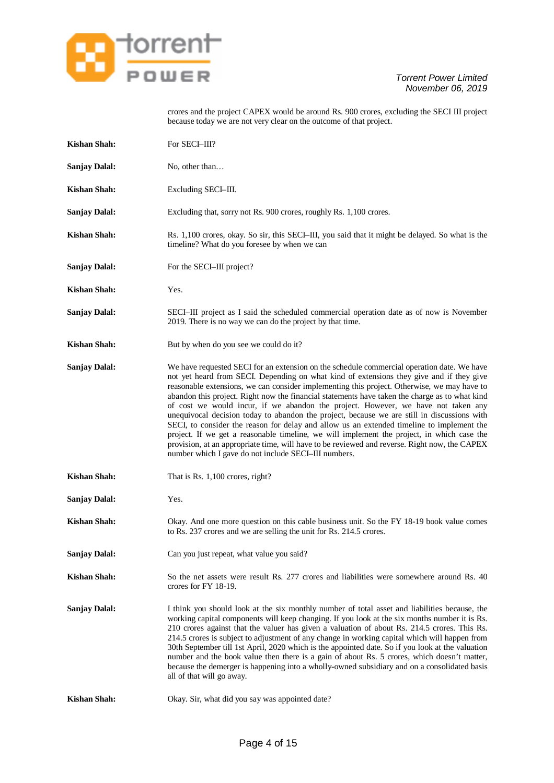

crores and the project CAPEX would be around Rs. 900 crores, excluding the SECI III project because today we are not very clear on the outcome of that project.

| <b>Kishan Shah:</b>  | For SECI-III?                                                                                                                                                                                                                                                                                                                                                                                                                                                                                                                                                                                                                                                                                                                                                                                                                                                                                                                   |
|----------------------|---------------------------------------------------------------------------------------------------------------------------------------------------------------------------------------------------------------------------------------------------------------------------------------------------------------------------------------------------------------------------------------------------------------------------------------------------------------------------------------------------------------------------------------------------------------------------------------------------------------------------------------------------------------------------------------------------------------------------------------------------------------------------------------------------------------------------------------------------------------------------------------------------------------------------------|
| <b>Sanjay Dalal:</b> | No, other than                                                                                                                                                                                                                                                                                                                                                                                                                                                                                                                                                                                                                                                                                                                                                                                                                                                                                                                  |
| <b>Kishan Shah:</b>  | Excluding SECI-III.                                                                                                                                                                                                                                                                                                                                                                                                                                                                                                                                                                                                                                                                                                                                                                                                                                                                                                             |
| <b>Sanjay Dalal:</b> | Excluding that, sorry not Rs. 900 crores, roughly Rs. 1,100 crores.                                                                                                                                                                                                                                                                                                                                                                                                                                                                                                                                                                                                                                                                                                                                                                                                                                                             |
| <b>Kishan Shah:</b>  | Rs. 1,100 crores, okay. So sir, this SECI-III, you said that it might be delayed. So what is the<br>timeline? What do you foresee by when we can                                                                                                                                                                                                                                                                                                                                                                                                                                                                                                                                                                                                                                                                                                                                                                                |
| <b>Sanjay Dalal:</b> | For the SECI-III project?                                                                                                                                                                                                                                                                                                                                                                                                                                                                                                                                                                                                                                                                                                                                                                                                                                                                                                       |
| <b>Kishan Shah:</b>  | Yes.                                                                                                                                                                                                                                                                                                                                                                                                                                                                                                                                                                                                                                                                                                                                                                                                                                                                                                                            |
| <b>Sanjay Dalal:</b> | SECI-III project as I said the scheduled commercial operation date as of now is November<br>2019. There is no way we can do the project by that time.                                                                                                                                                                                                                                                                                                                                                                                                                                                                                                                                                                                                                                                                                                                                                                           |
| <b>Kishan Shah:</b>  | But by when do you see we could do it?                                                                                                                                                                                                                                                                                                                                                                                                                                                                                                                                                                                                                                                                                                                                                                                                                                                                                          |
| <b>Sanjay Dalal:</b> | We have requested SECI for an extension on the schedule commercial operation date. We have<br>not yet heard from SECI. Depending on what kind of extensions they give and if they give<br>reasonable extensions, we can consider implementing this project. Otherwise, we may have to<br>abandon this project. Right now the financial statements have taken the charge as to what kind<br>of cost we would incur, if we abandon the project. However, we have not taken any<br>unequivocal decision today to abandon the project, because we are still in discussions with<br>SECI, to consider the reason for delay and allow us an extended timeline to implement the<br>project. If we get a reasonable timeline, we will implement the project, in which case the<br>provision, at an appropriate time, will have to be reviewed and reverse. Right now, the CAPEX<br>number which I gave do not include SECI-III numbers. |
| <b>Kishan Shah:</b>  | That is Rs. 1,100 crores, right?                                                                                                                                                                                                                                                                                                                                                                                                                                                                                                                                                                                                                                                                                                                                                                                                                                                                                                |
| <b>Sanjay Dalal:</b> | Yes.                                                                                                                                                                                                                                                                                                                                                                                                                                                                                                                                                                                                                                                                                                                                                                                                                                                                                                                            |
| <b>Kishan Shah:</b>  | Okay. And one more question on this cable business unit. So the FY 18-19 book value comes<br>to Rs. 237 crores and we are selling the unit for Rs. 214.5 crores.                                                                                                                                                                                                                                                                                                                                                                                                                                                                                                                                                                                                                                                                                                                                                                |
| <b>Sanjay Dalal:</b> | Can you just repeat, what value you said?                                                                                                                                                                                                                                                                                                                                                                                                                                                                                                                                                                                                                                                                                                                                                                                                                                                                                       |
| <b>Kishan Shah:</b>  | So the net assets were result Rs. 277 crores and liabilities were somewhere around Rs. 40<br>crores for FY 18-19.                                                                                                                                                                                                                                                                                                                                                                                                                                                                                                                                                                                                                                                                                                                                                                                                               |
| <b>Sanjay Dalal:</b> | I think you should look at the six monthly number of total asset and liabilities because, the<br>working capital components will keep changing. If you look at the six months number it is Rs.<br>210 crores against that the valuer has given a valuation of about Rs. 214.5 crores. This Rs.<br>214.5 crores is subject to adjustment of any change in working capital which will happen from<br>30th September till 1st April, 2020 which is the appointed date. So if you look at the valuation<br>number and the book value then there is a gain of about Rs. 5 crores, which doesn't matter,<br>because the demerger is happening into a wholly-owned subsidiary and on a consolidated basis<br>all of that will go away.                                                                                                                                                                                                 |
| <b>Kishan Shah:</b>  | Okay. Sir, what did you say was appointed date?                                                                                                                                                                                                                                                                                                                                                                                                                                                                                                                                                                                                                                                                                                                                                                                                                                                                                 |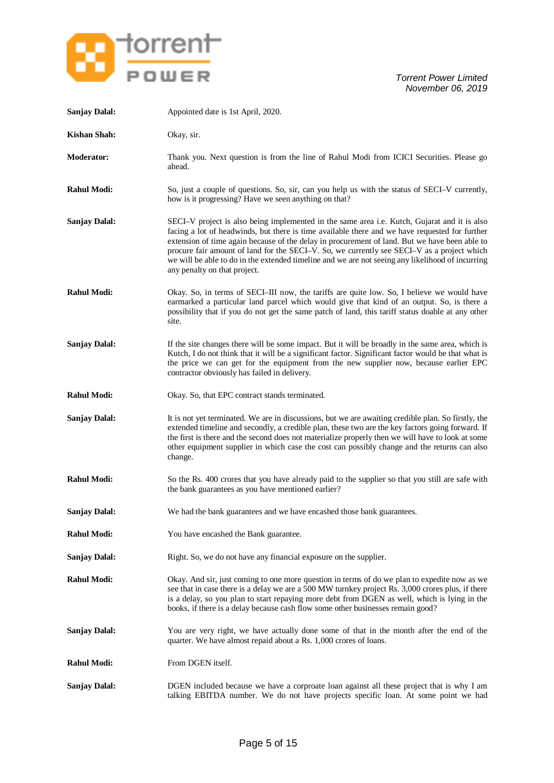

| <b>Sanjay Dalal:</b> | Appointed date is 1st April, 2020.                                                                                                                                                                                                                                                                                                                                                                                                                                                                                                |
|----------------------|-----------------------------------------------------------------------------------------------------------------------------------------------------------------------------------------------------------------------------------------------------------------------------------------------------------------------------------------------------------------------------------------------------------------------------------------------------------------------------------------------------------------------------------|
| <b>Kishan Shah:</b>  | Okay, sir.                                                                                                                                                                                                                                                                                                                                                                                                                                                                                                                        |
| <b>Moderator:</b>    | Thank you. Next question is from the line of Rahul Modi from ICICI Securities. Please go<br>ahead.                                                                                                                                                                                                                                                                                                                                                                                                                                |
| <b>Rahul Modi:</b>   | So, just a couple of questions. So, sir, can you help us with the status of SECI-V currently,<br>how is it progressing? Have we seen anything on that?                                                                                                                                                                                                                                                                                                                                                                            |
| <b>Sanjay Dalal:</b> | SECI-V project is also being implemented in the same area i.e. Kutch, Gujarat and it is also<br>facing a lot of headwinds, but there is time available there and we have requested for further<br>extension of time again because of the delay in procurement of land. But we have been able to<br>procure fair amount of land for the SECI-V. So, we currently see SECI-V as a project which<br>we will be able to do in the extended timeline and we are not seeing any likelihood of incurring<br>any penalty on that project. |
| <b>Rahul Modi:</b>   | Okay. So, in terms of SECI-III now, the tariffs are quite low. So, I believe we would have<br>earmarked a particular land parcel which would give that kind of an output. So, is there a<br>possibility that if you do not get the same patch of land, this tariff status doable at any other<br>site.                                                                                                                                                                                                                            |
| <b>Sanjay Dalal:</b> | If the site changes there will be some impact. But it will be broadly in the same area, which is<br>Kutch, I do not think that it will be a significant factor. Significant factor would be that what is<br>the price we can get for the equipment from the new supplier now, because earlier EPC<br>contractor obviously has failed in delivery.                                                                                                                                                                                 |
| <b>Rahul Modi:</b>   | Okay. So, that EPC contract stands terminated.                                                                                                                                                                                                                                                                                                                                                                                                                                                                                    |
| <b>Sanjay Dalal:</b> | It is not yet terminated. We are in discussions, but we are awaiting credible plan. So firstly, the<br>extended timeline and secondly, a credible plan, these two are the key factors going forward. If<br>the first is there and the second does not materialize properly then we will have to look at some<br>other equipment supplier in which case the cost can possibly change and the returns can also<br>change.                                                                                                           |
| <b>Rahul Modi:</b>   | So the Rs. 400 crores that you have already paid to the supplier so that you still are safe with<br>the bank guarantees as you have mentioned earlier?                                                                                                                                                                                                                                                                                                                                                                            |
| <b>Sanjay Dalal:</b> | We had the bank guarantees and we have encashed those bank guarantees.                                                                                                                                                                                                                                                                                                                                                                                                                                                            |
| <b>Rahul Modi:</b>   | You have encashed the Bank guarantee.                                                                                                                                                                                                                                                                                                                                                                                                                                                                                             |
| <b>Sanjay Dalal:</b> | Right. So, we do not have any financial exposure on the supplier.                                                                                                                                                                                                                                                                                                                                                                                                                                                                 |
| <b>Rahul Modi:</b>   | Okay. And sir, just coming to one more question in terms of do we plan to expedite now as we<br>see that in case there is a delay we are a 500 MW turnkey project Rs. 3,000 crores plus, if there<br>is a delay, so you plan to start repaying more debt from DGEN as well, which is lying in the<br>books, if there is a delay because cash flow some other businesses remain good?                                                                                                                                              |
| <b>Sanjay Dalal:</b> | You are very right, we have actually done some of that in the month after the end of the<br>quarter. We have almost repaid about a Rs. 1,000 crores of loans.                                                                                                                                                                                                                                                                                                                                                                     |
| <b>Rahul Modi:</b>   | From DGEN itself.                                                                                                                                                                                                                                                                                                                                                                                                                                                                                                                 |
| <b>Sanjay Dalal:</b> | DGEN included because we have a corproate loan against all these project that is why I am<br>talking EBITDA number. We do not have projects specific loan. At some point we had                                                                                                                                                                                                                                                                                                                                                   |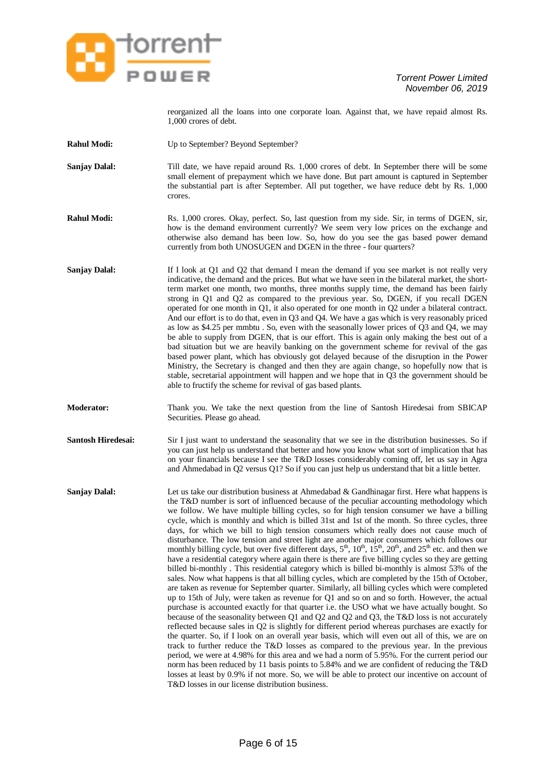

reorganized all the loans into one corporate loan. Against that, we have repaid almost Rs. 1,000 crores of debt.

- **Rahul Modi:** Up to September? Beyond September?
- **Sanjay Dalal:** Till date, we have repaid around Rs. 1,000 crores of debt. In September there will be some small element of prepayment which we have done. But part amount is captured in September the substantial part is after September. All put together, we have reduce debt by Rs. 1,000 crores.
- **Rahul Modi:** Rs. 1,000 crores. Okay, perfect. So, last question from my side. Sir, in terms of DGEN, sir, how is the demand environment currently? We seem very low prices on the exchange and otherwise also demand has been low. So, how do you see the gas based power demand currently from both UNOSUGEN and DGEN in the three - four quarters?
- **Sanjay Dalal:** If I look at Q1 and Q2 that demand I mean the demand if you see market is not really very indicative, the demand and the prices. But what we have seen in the bilateral market, the shortterm market one month, two months, three months supply time, the demand has been fairly strong in Q1 and Q2 as compared to the previous year. So, DGEN, if you recall DGEN operated for one month in Q1, it also operated for one month in Q2 under a bilateral contract. And our effort is to do that, even in Q3 and Q4. We have a gas which is very reasonably priced as low as \$4.25 per mmbtu . So, even with the seasonally lower prices of Q3 and Q4, we may be able to supply from DGEN, that is our effort. This is again only making the best out of a bad situation but we are heavily banking on the government scheme for revival of the gas based power plant, which has obviously got delayed because of the disruption in the Power Ministry, the Secretary is changed and then they are again change, so hopefully now that is stable, secretarial appointment will happen and we hope that in Q3 the government should be able to fructify the scheme for revival of gas based plants.
- **Moderator:** Thank you. We take the next question from the line of Santosh Hiredesai from SBICAP Securities. Please go ahead.
- **Santosh Hiredesai:** Sir I just want to understand the seasonality that we see in the distribution businesses. So if you can just help us understand that better and how you know what sort of implication that has on your financials because I see the T&D losses considerably coming off, let us say in Agra and Ahmedabad in Q2 versus Q1? So if you can just help us understand that bit a little better.
- **Sanjay Dalal:** Let us take our distribution business at Ahmedabad & Gandhinagar first. Here what happens is the T&D number is sort of influenced because of the peculiar accounting methodology which we follow. We have multiple billing cycles, so for high tension consumer we have a billing cycle, which is monthly and which is billed 31st and 1st of the month. So three cycles, three days, for which we bill to high tension consumers which really does not cause much of disturbance. The low tension and street light are another major consumers which follows our monthly billing cycle, but over five different days,  $5<sup>th</sup>$ ,  $10<sup>th</sup>$ ,  $15<sup>th</sup>$ ,  $20<sup>th</sup>$ , and  $25<sup>th</sup>$  etc. and then we have a residential category where again there is there are five billing cycles so they are getting billed bi-monthly . This residential category which is billed bi-monthly is almost 53% of the sales. Now what happens is that all billing cycles, which are completed by the 15th of October, are taken as revenue for September quarter. Similarly, all billing cycles which were completed up to 15th of July, were taken as revenue for Q1 and so on and so forth. However, the actual purchase is accounted exactly for that quarter i.e. the USO what we have actually bought. So because of the seasonality between Q1 and Q2 and Q2 and Q3, the T&D loss is not accurately reflected because sales in Q2 is slightly for different period whereas purchases are exactly for the quarter. So, if I look on an overall year basis, which will even out all of this, we are on track to further reduce the T&D losses as compared to the previous year. In the previous period, we were at 4.98% for this area and we had a norm of 5.95%. For the current period our norm has been reduced by 11 basis points to 5.84% and we are confident of reducing the T&D losses at least by 0.9% if not more. So, we will be able to protect our incentive on account of T&D losses in our license distribution business.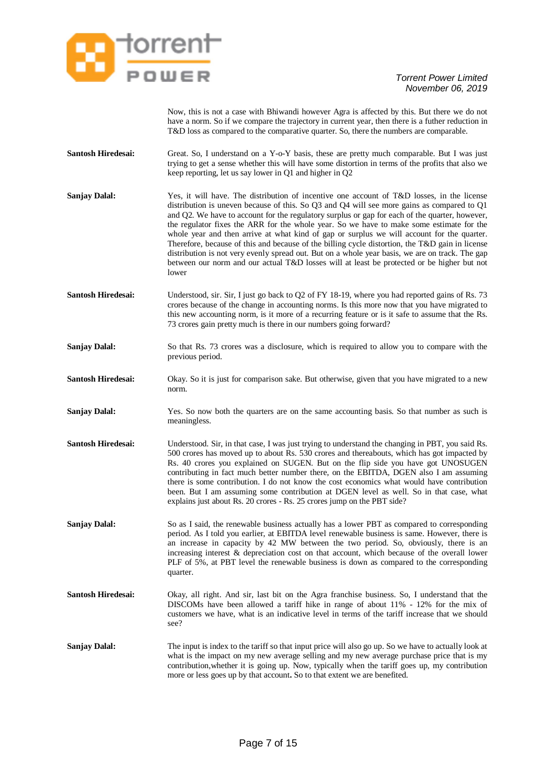

Now, this is not a case with Bhiwandi however Agra is affected by this. But there we do not have a norm. So if we compare the trajectory in current year, then there is a futher reduction in T&D loss as compared to the comparative quarter. So, there the numbers are comparable.

- **Santosh Hiredesai:** Great. So, I understand on a Y-o-Y basis, these are pretty much comparable. But I was just trying to get a sense whether this will have some distortion in terms of the profits that also we keep reporting, let us say lower in Q1 and higher in Q2
- **Sanjay Dalal:** Yes, it will have. The distribution of incentive one account of T&D losses, in the license distribution is uneven because of this. So Q3 and Q4 will see more gains as compared to Q1 and Q2. We have to account for the regulatory surplus or gap for each of the quarter, however, the regulator fixes the ARR for the whole year. So we have to make some estimate for the whole year and then arrive at what kind of gap or surplus we will account for the quarter. Therefore, because of this and because of the billing cycle distortion, the T&D gain in license distribution is not very evenly spread out. But on a whole year basis, we are on track. The gap between our norm and our actual T&D losses will at least be protected or be higher but not lower
- **Santosh Hiredesai:** Understood, sir. Sir, I just go back to O2 of FY 18-19, where you had reported gains of Rs. 73 crores because of the change in accounting norms. Is this more now that you have migrated to this new accounting norm, is it more of a recurring feature or is it safe to assume that the Rs. 73 crores gain pretty much is there in our numbers going forward?
- **Sanjay Dalal:** So that Rs. 73 crores was a disclosure, which is required to allow you to compare with the previous period.
- **Santosh Hiredesai:** Okay. So it is just for comparison sake. But otherwise, given that you have migrated to a new norm.
- **Sanjay Dalal:** Yes. So now both the quarters are on the same accounting basis. So that number as such is meaningless.
- **Santosh Hiredesai:** Understood. Sir, in that case, I was just trying to understand the changing in PBT, you said Rs. 500 crores has moved up to about Rs. 530 crores and thereabouts, which has got impacted by Rs. 40 crores you explained on SUGEN. But on the flip side you have got UNOSUGEN contributing in fact much better number there, on the EBITDA, DGEN also I am assuming there is some contribution. I do not know the cost economics what would have contribution been. But I am assuming some contribution at DGEN level as well. So in that case, what explains just about Rs. 20 crores - Rs. 25 crores jump on the PBT side?
- **Sanjay Dalal:** So as I said, the renewable business actually has a lower PBT as compared to corresponding period. As I told you earlier, at EBITDA level renewable business is same. However, there is an increase in capacity by 42 MW between the two period. So, obviously, there is an increasing interest & depreciation cost on that account, which because of the overall lower PLF of 5%, at PBT level the renewable business is down as compared to the corresponding quarter.
- **Santosh Hiredesai:** Okay, all right. And sir, last bit on the Agra franchise business. So, I understand that the DISCOMs have been allowed a tariff hike in range of about 11% - 12% for the mix of customers we have, what is an indicative level in terms of the tariff increase that we should see?
- **Sanjay Dalal:** The input is index to the tariff so that input price will also go up. So we have to actually look at what is the impact on my new average selling and my new average purchase price that is my contribution,whether it is going up. Now, typically when the tariff goes up, my contribution more or less goes up by that account**.** So to that extent we are benefited.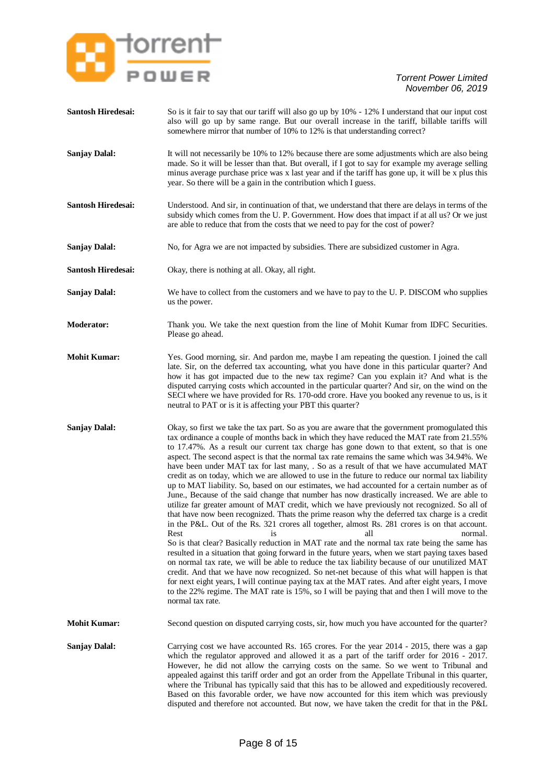

| Santosh Hiredesai:        | So is it fair to say that our tariff will also go up by 10% - 12% I understand that our input cost<br>also will go up by same range. But our overall increase in the tariff, billable tariffs will<br>somewhere mirror that number of 10% to 12% is that understanding correct?                                                                                                                                                                                                                                                                                                                                                                                                                                                                                                                                                                                                                                                                                                                                                                                                                                                                                                                                                                                                                                                                                                                                                                                                                                                                                                                                                                                                                                                                       |
|---------------------------|-------------------------------------------------------------------------------------------------------------------------------------------------------------------------------------------------------------------------------------------------------------------------------------------------------------------------------------------------------------------------------------------------------------------------------------------------------------------------------------------------------------------------------------------------------------------------------------------------------------------------------------------------------------------------------------------------------------------------------------------------------------------------------------------------------------------------------------------------------------------------------------------------------------------------------------------------------------------------------------------------------------------------------------------------------------------------------------------------------------------------------------------------------------------------------------------------------------------------------------------------------------------------------------------------------------------------------------------------------------------------------------------------------------------------------------------------------------------------------------------------------------------------------------------------------------------------------------------------------------------------------------------------------------------------------------------------------------------------------------------------------|
| <b>Sanjay Dalal:</b>      | It will not necessarily be 10% to 12% because there are some adjustments which are also being<br>made. So it will be lesser than that. But overall, if I got to say for example my average selling<br>minus average purchase price was x last year and if the tariff has gone up, it will be x plus this<br>year. So there will be a gain in the contribution which I guess.                                                                                                                                                                                                                                                                                                                                                                                                                                                                                                                                                                                                                                                                                                                                                                                                                                                                                                                                                                                                                                                                                                                                                                                                                                                                                                                                                                          |
| Santosh Hiredesai:        | Understood. And sir, in continuation of that, we understand that there are delays in terms of the<br>subsidy which comes from the U. P. Government. How does that impact if at all us? Or we just<br>are able to reduce that from the costs that we need to pay for the cost of power?                                                                                                                                                                                                                                                                                                                                                                                                                                                                                                                                                                                                                                                                                                                                                                                                                                                                                                                                                                                                                                                                                                                                                                                                                                                                                                                                                                                                                                                                |
| <b>Sanjay Dalal:</b>      | No, for Agra we are not impacted by subsidies. There are subsidized customer in Agra.                                                                                                                                                                                                                                                                                                                                                                                                                                                                                                                                                                                                                                                                                                                                                                                                                                                                                                                                                                                                                                                                                                                                                                                                                                                                                                                                                                                                                                                                                                                                                                                                                                                                 |
| <b>Santosh Hiredesai:</b> | Okay, there is nothing at all. Okay, all right.                                                                                                                                                                                                                                                                                                                                                                                                                                                                                                                                                                                                                                                                                                                                                                                                                                                                                                                                                                                                                                                                                                                                                                                                                                                                                                                                                                                                                                                                                                                                                                                                                                                                                                       |
| <b>Sanjay Dalal:</b>      | We have to collect from the customers and we have to pay to the U. P. DISCOM who supplies<br>us the power.                                                                                                                                                                                                                                                                                                                                                                                                                                                                                                                                                                                                                                                                                                                                                                                                                                                                                                                                                                                                                                                                                                                                                                                                                                                                                                                                                                                                                                                                                                                                                                                                                                            |
| <b>Moderator:</b>         | Thank you. We take the next question from the line of Mohit Kumar from IDFC Securities.<br>Please go ahead.                                                                                                                                                                                                                                                                                                                                                                                                                                                                                                                                                                                                                                                                                                                                                                                                                                                                                                                                                                                                                                                                                                                                                                                                                                                                                                                                                                                                                                                                                                                                                                                                                                           |
| <b>Mohit Kumar:</b>       | Yes. Good morning, sir. And pardon me, maybe I am repeating the question. I joined the call<br>late. Sir, on the deferred tax accounting, what you have done in this particular quarter? And<br>how it has got impacted due to the new tax regime? Can you explain it? And what is the<br>disputed carrying costs which accounted in the particular quarter? And sir, on the wind on the<br>SECI where we have provided for Rs. 170-odd crore. Have you booked any revenue to us, is it<br>neutral to PAT or is it is affecting your PBT this quarter?                                                                                                                                                                                                                                                                                                                                                                                                                                                                                                                                                                                                                                                                                                                                                                                                                                                                                                                                                                                                                                                                                                                                                                                                |
| <b>Sanjay Dalal:</b>      | Okay, so first we take the tax part. So as you are aware that the government promogulated this<br>tax ordinance a couple of months back in which they have reduced the MAT rate from 21.55%<br>to 17.47%. As a result our current tax charge has gone down to that extent, so that is one<br>aspect. The second aspect is that the normal tax rate remains the same which was 34.94%. We<br>have been under MAT tax for last many, . So as a result of that we have accumulated MAT<br>credit as on today, which we are allowed to use in the future to reduce our normal tax liability<br>up to MAT liability. So, based on our estimates, we had accounted for a certain number as of<br>June., Because of the said change that number has now drastically increased. We are able to<br>utilize far greater amount of MAT credit, which we have previously not recognized. So all of<br>that have now been recognized. Thats the prime reason why the deferred tax charge is a credit<br>in the P&L. Out of the Rs. 321 crores all together, almost Rs. 281 crores is on that account.<br>Rest<br>is<br>all<br>normal.<br>So is that clear? Basically reduction in MAT rate and the normal tax rate being the same has<br>resulted in a situation that going forward in the future years, when we start paying taxes based<br>on normal tax rate, we will be able to reduce the tax liability because of our unutilized MAT<br>credit. And that we have now recognized. So net-net because of this what will happen is that<br>for next eight years, I will continue paying tax at the MAT rates. And after eight years, I move<br>to the 22% regime. The MAT rate is 15%, so I will be paying that and then I will move to the<br>normal tax rate. |
| <b>Mohit Kumar:</b>       | Second question on disputed carrying costs, sir, how much you have accounted for the quarter?                                                                                                                                                                                                                                                                                                                                                                                                                                                                                                                                                                                                                                                                                                                                                                                                                                                                                                                                                                                                                                                                                                                                                                                                                                                                                                                                                                                                                                                                                                                                                                                                                                                         |
| <b>Sanjay Dalal:</b>      | Carrying cost we have accounted Rs. 165 crores. For the year 2014 - 2015, there was a gap<br>which the regulator approved and allowed it as a part of the tariff order for 2016 - 2017.<br>However, he did not allow the carrying costs on the same. So we went to Tribunal and<br>appealed against this tariff order and got an order from the Appellate Tribunal in this quarter,<br>where the Tribunal has typically said that this has to be allowed and expeditiously recovered.<br>Based on this favorable order, we have now accounted for this item which was previously<br>disputed and therefore not accounted. But now, we have taken the credit for that in the P&L                                                                                                                                                                                                                                                                                                                                                                                                                                                                                                                                                                                                                                                                                                                                                                                                                                                                                                                                                                                                                                                                       |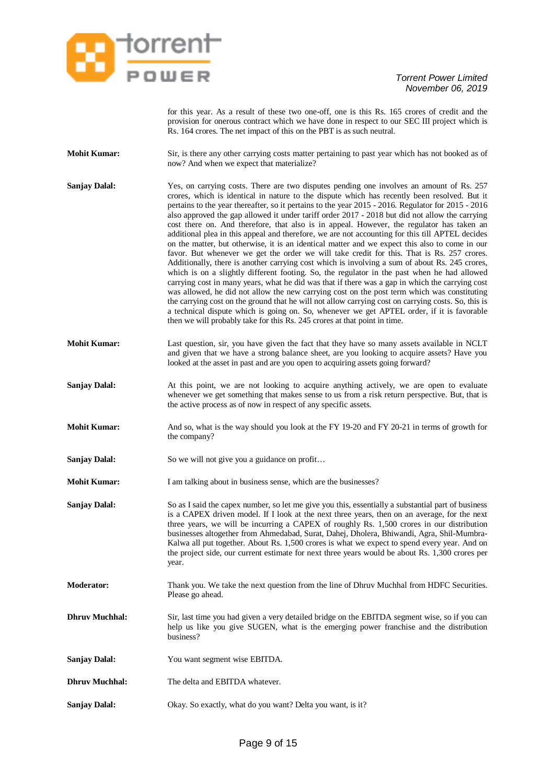

for this year. As a result of these two one-off, one is this Rs. 165 crores of credit and the provision for onerous contract which we have done in respect to our SEC III project which is Rs. 164 crores. The net impact of this on the PBT is as such neutral.

- **Mohit Kumar:** Sir, is there any other carrying costs matter pertaining to past year which has not booked as of now? And when we expect that materialize?
- **Sanjay Dalal:** Yes, on carrying costs. There are two disputes pending one involves an amount of Rs. 257 crores, which is identical in nature to the dispute which has recently been resolved. But it pertains to the year thereafter, so it pertains to the year 2015 - 2016. Regulator for 2015 - 2016 also approved the gap allowed it under tariff order 2017 - 2018 but did not allow the carrying cost there on. And therefore, that also is in appeal. However, the regulator has taken an additional plea in this appeal and therefore, we are not accounting for this till APTEL decides on the matter, but otherwise, it is an identical matter and we expect this also to come in our favor. But whenever we get the order we will take credit for this. That is Rs. 257 crores. Additionally, there is another carrying cost which is involving a sum of about Rs. 245 crores, which is on a slightly different footing. So, the regulator in the past when he had allowed carrying cost in many years, what he did was that if there was a gap in which the carrying cost was allowed, he did not allow the new carrying cost on the post term which was constituting the carrying cost on the ground that he will not allow carrying cost on carrying costs. So, this is a technical dispute which is going on. So, whenever we get APTEL order, if it is favorable then we will probably take for this Rs. 245 crores at that point in time.
- **Mohit Kumar:** Last question, sir, you have given the fact that they have so many assets available in NCLT and given that we have a strong balance sheet, are you looking to acquire assets? Have you looked at the asset in past and are you open to acquiring assets going forward?
- **Sanjay Dalal:** At this point, we are not looking to acquire anything actively, we are open to evaluate whenever we get something that makes sense to us from a risk return perspective. But, that is the active process as of now in respect of any specific assets.
- **Mohit Kumar:** And so, what is the way should you look at the FY 19-20 and FY 20-21 in terms of growth for the company?
- **Sanjay Dalal:** So we will not give you a guidance on profit...
- **Mohit Kumar:** I am talking about in business sense, which are the businesses?
- **Sanjay Dalal:** So as I said the capex number, so let me give you this, essentially a substantial part of business is a CAPEX driven model. If I look at the next three years, then on an average, for the next three years, we will be incurring a CAPEX of roughly Rs. 1,500 crores in our distribution businesses altogether from Ahmedabad, Surat, Dahej, Dholera, Bhiwandi, Agra, Shil-Mumbra-Kalwa all put together. About Rs. 1,500 crores is what we expect to spend every year. And on the project side, our current estimate for next three years would be about Rs. 1,300 crores per year.
- **Moderator:** Thank you. We take the next question from the line of Dhruv Muchhal from HDFC Securities. Please go ahead.
- **Dhruv Muchhal:** Sir, last time you had given a very detailed bridge on the EBITDA segment wise, so if you can help us like you give SUGEN, what is the emerging power franchise and the distribution business?
- **Sanjay Dalal:** You want segment wise EBITDA.
- **Dhruv Muchhal:** The delta and EBITDA whatever.
- **Sanjay Dalal:** Okay. So exactly, what do you want? Delta you want, is it?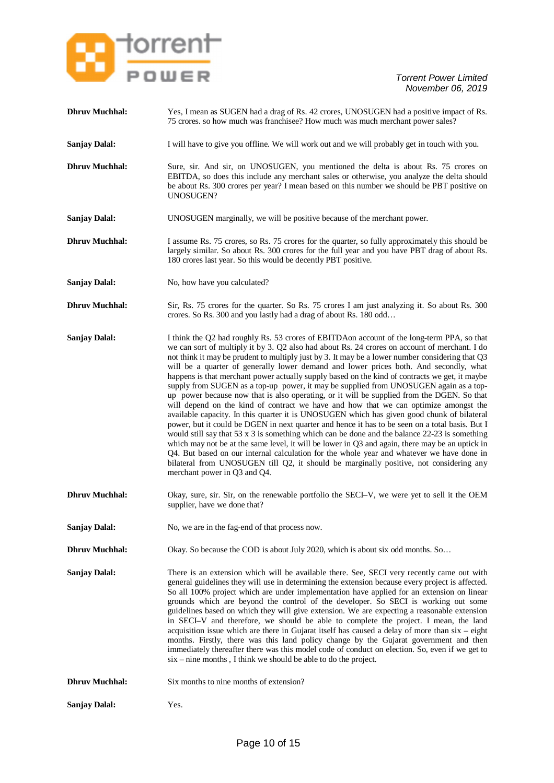

- **Dhruv Muchhal:** Yes, I mean as SUGEN had a drag of Rs. 42 crores, UNOSUGEN had a positive impact of Rs. 75 crores. so how much was franchisee? How much was much merchant power sales?
- **Sanjay Dalal:** I will have to give you offline. We will work out and we will probably get in touch with you.
- **Dhruv Muchhal:** Sure, sir. And sir, on UNOSUGEN, you mentioned the delta is about Rs. 75 crores on EBITDA, so does this include any merchant sales or otherwise, you analyze the delta should be about Rs. 300 crores per year? I mean based on this number we should be PBT positive on UNOSUGEN?
- **Sanjay Dalal:** UNOSUGEN marginally, we will be positive because of the merchant power.
- **Dhruv Muchhal:** I assume Rs. 75 crores, so Rs. 75 crores for the quarter, so fully approximately this should be largely similar. So about Rs. 300 crores for the full year and you have PBT drag of about Rs. 180 crores last year. So this would be decently PBT positive.
- **Sanjay Dalal:** No, how have you calculated?
- **Dhruv Muchhal:** Sir, Rs. 75 crores for the quarter. So Rs. 75 crores I am just analyzing it. So about Rs. 300 crores. So Rs. 300 and you lastly had a drag of about Rs. 180 odd…
- **Sanjay Dalal:** I think the Q2 had roughly Rs. 53 crores of EBITDA on account of the long-term PPA, so that we can sort of multiply it by 3. Q2 also had about Rs. 24 crores on account of merchant. I do not think it may be prudent to multiply just by 3. It may be a lower number considering that Q3 will be a quarter of generally lower demand and lower prices both. And secondly, what happens is that merchant power actually supply based on the kind of contracts we get, it maybe supply from SUGEN as a top-up power, it may be supplied from UNOSUGEN again as a topup power because now that is also operating, or it will be supplied from the DGEN. So that will depend on the kind of contract we have and how that we can optimize amongst the available capacity. In this quarter it is UNOSUGEN which has given good chunk of bilateral power, but it could be DGEN in next quarter and hence it has to be seen on a total basis. But I would still say that 53 x 3 is something which can be done and the balance  $22-23$  is something which may not be at the same level, it will be lower in O3 and again, there may be an uptick in Q4. But based on our internal calculation for the whole year and whatever we have done in bilateral from UNOSUGEN till Q2, it should be marginally positive, not considering any merchant power in Q3 and Q4.
- **Dhruv Muchhal:** Okay, sure, sir. Sir, on the renewable portfolio the SECI–V, we were yet to sell it the OEM supplier, have we done that?
- **Sanjay Dalal:** No, we are in the fag-end of that process now.
- **Dhruv Muchhal:** Okay. So because the COD is about July 2020, which is about six odd months. So...
- **Sanjay Dalal:** There is an extension which will be available there. See, SECI very recently came out with general guidelines they will use in determining the extension because every project is affected. So all 100% project which are under implementation have applied for an extension on linear grounds which are beyond the control of the developer. So SECI is working out some guidelines based on which they will give extension. We are expecting a reasonable extension in SECI–V and therefore, we should be able to complete the project. I mean, the land acquisition issue which are there in Gujarat itself has caused a delay of more than six – eight months. Firstly, there was this land policy change by the Gujarat government and then immediately thereafter there was this model code of conduct on election. So, even if we get to six – nine months , I think we should be able to do the project.
- **Dhruv Muchhal:** Six months to nine months of extension?
- **Sanjay Dalal:** Yes.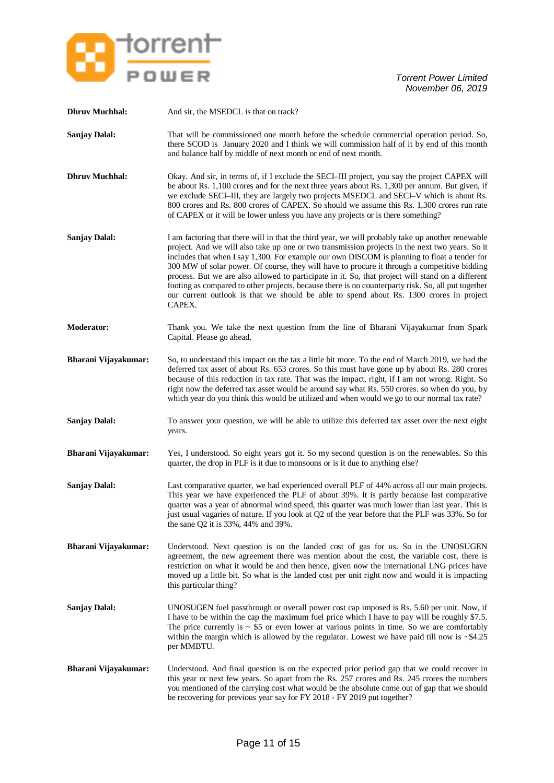

| <b>Dhruv Muchhal:</b> | And sir, the MSEDCL is that on track?                                                                                                                                                                                                                                                                                                                                                                                                                                                                                                                                                                                                                                                                                |
|-----------------------|----------------------------------------------------------------------------------------------------------------------------------------------------------------------------------------------------------------------------------------------------------------------------------------------------------------------------------------------------------------------------------------------------------------------------------------------------------------------------------------------------------------------------------------------------------------------------------------------------------------------------------------------------------------------------------------------------------------------|
| <b>Sanjay Dalal:</b>  | That will be commissioned one month before the schedule commercial operation period. So,<br>there SCOD is January 2020 and I think we will commission half of it by end of this month<br>and balance half by middle of next month or end of next month.                                                                                                                                                                                                                                                                                                                                                                                                                                                              |
| <b>Dhruv Muchhal:</b> | Okay. And sir, in terms of, if I exclude the SECI-III project, you say the project CAPEX will<br>be about Rs. 1,100 crores and for the next three years about Rs. 1,300 per annum. But given, if<br>we exclude SECI-III, they are largely two projects MSEDCL and SECI-V which is about Rs.<br>800 crores and Rs. 800 crores of CAPEX. So should we assume this Rs. 1,300 crores run rate<br>of CAPEX or it will be lower unless you have any projects or is there something?                                                                                                                                                                                                                                        |
| <b>Sanjay Dalal:</b>  | I am factoring that there will in that the third year, we will probably take up another renewable<br>project. And we will also take up one or two transmission projects in the next two years. So it<br>includes that when I say 1,300. For example our own DISCOM is planning to float a tender for<br>300 MW of solar power. Of course, they will have to procure it through a competitive bidding<br>process. But we are also allowed to participate in it. So, that project will stand on a different<br>footing as compared to other projects, because there is no counterparty risk. So, all put together<br>our current outlook is that we should be able to spend about Rs. 1300 crores in project<br>CAPEX. |
| <b>Moderator:</b>     | Thank you. We take the next question from the line of Bharani Vijayakumar from Spark<br>Capital. Please go ahead.                                                                                                                                                                                                                                                                                                                                                                                                                                                                                                                                                                                                    |
| Bharani Vijayakumar:  | So, to understand this impact on the tax a little bit more. To the end of March 2019, we had the<br>deferred tax asset of about Rs. 653 crores. So this must have gone up by about Rs. 280 crores<br>because of this reduction in tax rate. That was the impact, right, if I am not wrong. Right. So<br>right now the deferred tax asset would be around say what Rs. 550 crores. so when do you, by<br>which year do you think this would be utilized and when would we go to our normal tax rate?                                                                                                                                                                                                                  |
| <b>Sanjay Dalal:</b>  | To answer your question, we will be able to utilize this deferred tax asset over the next eight<br>years.                                                                                                                                                                                                                                                                                                                                                                                                                                                                                                                                                                                                            |
| Bharani Vijayakumar:  | Yes, I understood. So eight years got it. So my second question is on the renewables. So this<br>quarter, the drop in PLF is it due to monsoons or is it due to anything else?                                                                                                                                                                                                                                                                                                                                                                                                                                                                                                                                       |
| <b>Sanjay Dalal:</b>  | Last comparative quarter, we had experienced overall PLF of 44% across all our main projects.<br>This year we have experienced the PLF of about 39%. It is partly because last comparative<br>quarter was a year of abnormal wind speed, this quarter was much lower than last year. This is<br>just usual vagaries of nature. If you look at Q2 of the year before that the PLF was 33%. So for<br>the sane Q2 it is $33\%$ , 44% and 39%.                                                                                                                                                                                                                                                                          |
| Bharani Vijayakumar:  | Understood. Next question is on the landed cost of gas for us. So in the UNOSUGEN<br>agreement, the new agreement there was mention about the cost, the variable cost, there is<br>restriction on what it would be and then hence, given now the international LNG prices have<br>moved up a little bit. So what is the landed cost per unit right now and would it is impacting<br>this particular thing?                                                                                                                                                                                                                                                                                                           |
| <b>Sanjay Dalal:</b>  | UNOSUGEN fuel passthrough or overall power cost cap imposed is Rs. 5.60 per unit. Now, if<br>I have to be within the cap the maximum fuel price which I have to pay will be roughly \$7.5.<br>The price currently is $\sim$ \$5 or even lower at various points in time. So we are comfortably<br>within the margin which is allowed by the regulator. Lowest we have paid till now is $\sim$ \$4.25<br>per MMBTU.                                                                                                                                                                                                                                                                                                   |
| Bharani Vijayakumar:  | Understood. And final question is on the expected prior period gap that we could recover in<br>this year or next few years. So apart from the Rs. 257 crores and Rs. 245 crores the numbers<br>you mentioned of the carrying cost what would be the absolute come out of gap that we should<br>be recovering for previous year say for FY 2018 - FY 2019 put together?                                                                                                                                                                                                                                                                                                                                               |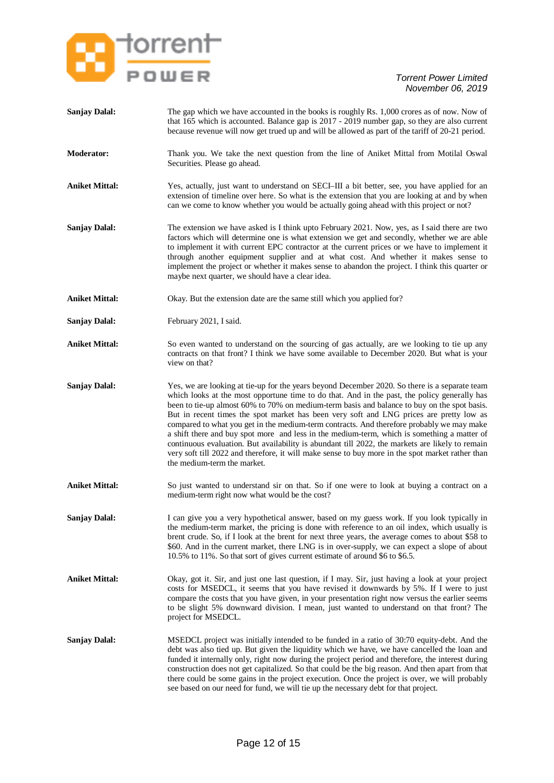

| <b>Sanjay Dalal:</b>  | The gap which we have accounted in the books is roughly Rs. 1,000 crores as of now. Now of<br>that 165 which is accounted. Balance gap is 2017 - 2019 number gap, so they are also current<br>because revenue will now get trued up and will be allowed as part of the tariff of 20-21 period.                                                                                                                                                                                                                                                                                                                                                                                                                                                                                                                            |
|-----------------------|---------------------------------------------------------------------------------------------------------------------------------------------------------------------------------------------------------------------------------------------------------------------------------------------------------------------------------------------------------------------------------------------------------------------------------------------------------------------------------------------------------------------------------------------------------------------------------------------------------------------------------------------------------------------------------------------------------------------------------------------------------------------------------------------------------------------------|
| <b>Moderator:</b>     | Thank you. We take the next question from the line of Aniket Mittal from Motilal Oswal<br>Securities. Please go ahead.                                                                                                                                                                                                                                                                                                                                                                                                                                                                                                                                                                                                                                                                                                    |
| <b>Aniket Mittal:</b> | Yes, actually, just want to understand on SECI-III a bit better, see, you have applied for an<br>extension of timeline over here. So what is the extension that you are looking at and by when<br>can we come to know whether you would be actually going ahead with this project or not?                                                                                                                                                                                                                                                                                                                                                                                                                                                                                                                                 |
| <b>Sanjay Dalal:</b>  | The extension we have asked is I think upto February 2021. Now, yes, as I said there are two<br>factors which will determine one is what extension we get and secondly, whether we are able<br>to implement it with current EPC contractor at the current prices or we have to implement it<br>through another equipment supplier and at what cost. And whether it makes sense to<br>implement the project or whether it makes sense to abandon the project. I think this quarter or<br>maybe next quarter, we should have a clear idea.                                                                                                                                                                                                                                                                                  |
| <b>Aniket Mittal:</b> | Okay. But the extension date are the same still which you applied for?                                                                                                                                                                                                                                                                                                                                                                                                                                                                                                                                                                                                                                                                                                                                                    |
| <b>Sanjay Dalal:</b>  | February 2021, I said.                                                                                                                                                                                                                                                                                                                                                                                                                                                                                                                                                                                                                                                                                                                                                                                                    |
| <b>Aniket Mittal:</b> | So even wanted to understand on the sourcing of gas actually, are we looking to tie up any<br>contracts on that front? I think we have some available to December 2020. But what is your<br>view on that?                                                                                                                                                                                                                                                                                                                                                                                                                                                                                                                                                                                                                 |
| <b>Sanjay Dalal:</b>  | Yes, we are looking at tie-up for the years beyond December 2020. So there is a separate team<br>which looks at the most opportune time to do that. And in the past, the policy generally has<br>been to tie-up almost 60% to 70% on medium-term basis and balance to buy on the spot basis.<br>But in recent times the spot market has been very soft and LNG prices are pretty low as<br>compared to what you get in the medium-term contracts. And therefore probably we may make<br>a shift there and buy spot more and less in the medium-term, which is something a matter of<br>continuous evaluation. But availability is abundant till 2022, the markets are likely to remain<br>very soft till 2022 and therefore, it will make sense to buy more in the spot market rather than<br>the medium-term the market. |
| <b>Aniket Mittal:</b> | So just wanted to understand sir on that. So if one were to look at buying a contract on a<br>medium-term right now what would be the cost?                                                                                                                                                                                                                                                                                                                                                                                                                                                                                                                                                                                                                                                                               |
| <b>Sanjay Dalal:</b>  | I can give you a very hypothetical answer, based on my guess work. If you look typically in<br>the medium-term market, the pricing is done with reference to an oil index, which usually is<br>brent crude. So, if I look at the brent for next three years, the average comes to about \$58 to<br>\$60. And in the current market, there LNG is in over-supply, we can expect a slope of about<br>10.5% to 11%. So that sort of gives current estimate of around \$6 to \$6.5.                                                                                                                                                                                                                                                                                                                                           |
| <b>Aniket Mittal:</b> | Okay, got it. Sir, and just one last question, if I may. Sir, just having a look at your project<br>costs for MSEDCL, it seems that you have revised it downwards by 5%. If I were to just<br>compare the costs that you have given, in your presentation right now versus the earlier seems<br>to be slight 5% downward division. I mean, just wanted to understand on that front? The<br>project for MSEDCL.                                                                                                                                                                                                                                                                                                                                                                                                            |
| <b>Sanjay Dalal:</b>  | MSEDCL project was initially intended to be funded in a ratio of 30.70 equity-debt. And the<br>debt was also tied up. But given the liquidity which we have, we have cancelled the loan and<br>funded it internally only, right now during the project period and therefore, the interest during<br>construction does not get capitalized. So that could be the big reason. And then apart from that<br>there could be some gains in the project execution. Once the project is over, we will probably<br>see based on our need for fund, we will tie up the necessary debt for that project.                                                                                                                                                                                                                             |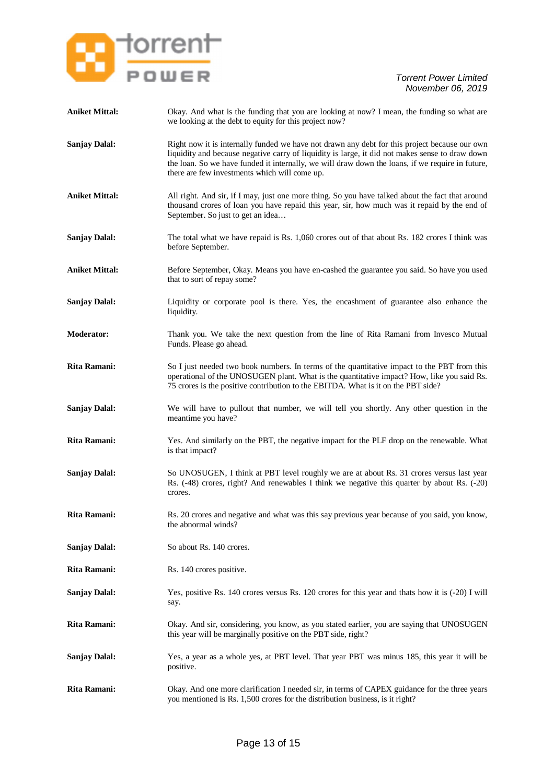

| <b>Aniket Mittal:</b> | Okay. And what is the funding that you are looking at now? I mean, the funding so what are<br>we looking at the debt to equity for this project now?                                                                                                                                                                                                  |
|-----------------------|-------------------------------------------------------------------------------------------------------------------------------------------------------------------------------------------------------------------------------------------------------------------------------------------------------------------------------------------------------|
| <b>Sanjay Dalal:</b>  | Right now it is internally funded we have not drawn any debt for this project because our own<br>liquidity and because negative carry of liquidity is large, it did not makes sense to draw down<br>the loan. So we have funded it internally, we will draw down the loans, if we require in future,<br>there are few investments which will come up. |
| <b>Aniket Mittal:</b> | All right. And sir, if I may, just one more thing. So you have talked about the fact that around<br>thousand crores of loan you have repaid this year, sir, how much was it repaid by the end of<br>September. So just to get an idea                                                                                                                 |
| <b>Sanjay Dalal:</b>  | The total what we have repaid is Rs. 1,060 crores out of that about Rs. 182 crores I think was<br>before September.                                                                                                                                                                                                                                   |
| <b>Aniket Mittal:</b> | Before September, Okay. Means you have en-cashed the guarantee you said. So have you used<br>that to sort of repay some?                                                                                                                                                                                                                              |
| <b>Sanjay Dalal:</b>  | Liquidity or corporate pool is there. Yes, the encashment of guarantee also enhance the<br>liquidity.                                                                                                                                                                                                                                                 |
| <b>Moderator:</b>     | Thank you. We take the next question from the line of Rita Ramani from Invesco Mutual<br>Funds. Please go ahead.                                                                                                                                                                                                                                      |
| <b>Rita Ramani:</b>   | So I just needed two book numbers. In terms of the quantitative impact to the PBT from this<br>operational of the UNOSUGEN plant. What is the quantitative impact? How, like you said Rs.<br>75 crores is the positive contribution to the EBITDA. What is it on the PBT side?                                                                        |
| <b>Sanjay Dalal:</b>  | We will have to pullout that number, we will tell you shortly. Any other question in the<br>meantime you have?                                                                                                                                                                                                                                        |
| <b>Rita Ramani:</b>   | Yes. And similarly on the PBT, the negative impact for the PLF drop on the renewable. What<br>is that impact?                                                                                                                                                                                                                                         |
| <b>Sanjay Dalal:</b>  | So UNOSUGEN, I think at PBT level roughly we are at about Rs. 31 crores versus last year<br>Rs. (-48) crores, right? And renewables I think we negative this quarter by about Rs. (-20)<br>crores.                                                                                                                                                    |
| Rita Ramani:          | Rs. 20 crores and negative and what was this say previous year because of you said, you know,<br>the abnormal winds?                                                                                                                                                                                                                                  |
| <b>Sanjay Dalal:</b>  | So about Rs. 140 crores.                                                                                                                                                                                                                                                                                                                              |
| <b>Rita Ramani:</b>   | Rs. 140 crores positive.                                                                                                                                                                                                                                                                                                                              |
| <b>Sanjay Dalal:</b>  | Yes, positive Rs. 140 crores versus Rs. 120 crores for this year and thats how it is (-20) I will<br>say.                                                                                                                                                                                                                                             |
| <b>Rita Ramani:</b>   | Okay. And sir, considering, you know, as you stated earlier, you are saying that UNOSUGEN<br>this year will be marginally positive on the PBT side, right?                                                                                                                                                                                            |
| <b>Sanjay Dalal:</b>  | Yes, a year as a whole yes, at PBT level. That year PBT was minus 185, this year it will be<br>positive.                                                                                                                                                                                                                                              |
| Rita Ramani:          | Okay. And one more clarification I needed sir, in terms of CAPEX guidance for the three years<br>you mentioned is Rs. 1,500 crores for the distribution business, is it right?                                                                                                                                                                        |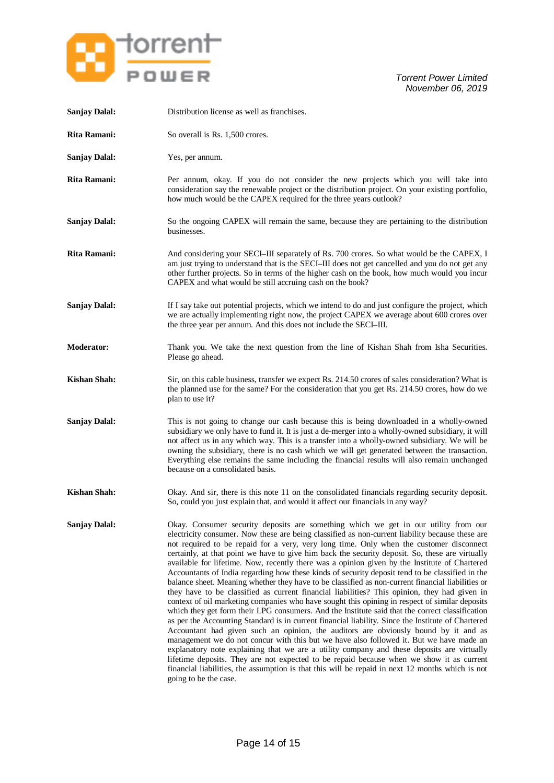

| <b>Sanjay Dalal:</b> | Distribution license as well as franchises.                                                                                                                                                                                                                                                                                                                                                                                                                                                                                                                                                                                                                                                                                                                                                                                                                                                                                                                                                                                                                                                                                                                                                                                                                                                                                                                                                                                                                                                                                                                                                                       |
|----------------------|-------------------------------------------------------------------------------------------------------------------------------------------------------------------------------------------------------------------------------------------------------------------------------------------------------------------------------------------------------------------------------------------------------------------------------------------------------------------------------------------------------------------------------------------------------------------------------------------------------------------------------------------------------------------------------------------------------------------------------------------------------------------------------------------------------------------------------------------------------------------------------------------------------------------------------------------------------------------------------------------------------------------------------------------------------------------------------------------------------------------------------------------------------------------------------------------------------------------------------------------------------------------------------------------------------------------------------------------------------------------------------------------------------------------------------------------------------------------------------------------------------------------------------------------------------------------------------------------------------------------|
| Rita Ramani:         | So overall is Rs. 1,500 crores.                                                                                                                                                                                                                                                                                                                                                                                                                                                                                                                                                                                                                                                                                                                                                                                                                                                                                                                                                                                                                                                                                                                                                                                                                                                                                                                                                                                                                                                                                                                                                                                   |
| <b>Sanjay Dalal:</b> | Yes, per annum.                                                                                                                                                                                                                                                                                                                                                                                                                                                                                                                                                                                                                                                                                                                                                                                                                                                                                                                                                                                                                                                                                                                                                                                                                                                                                                                                                                                                                                                                                                                                                                                                   |
| <b>Rita Ramani:</b>  | Per annum, okay. If you do not consider the new projects which you will take into<br>consideration say the renewable project or the distribution project. On your existing portfolio,<br>how much would be the CAPEX required for the three years outlook?                                                                                                                                                                                                                                                                                                                                                                                                                                                                                                                                                                                                                                                                                                                                                                                                                                                                                                                                                                                                                                                                                                                                                                                                                                                                                                                                                        |
| <b>Sanjay Dalal:</b> | So the ongoing CAPEX will remain the same, because they are pertaining to the distribution<br>businesses.                                                                                                                                                                                                                                                                                                                                                                                                                                                                                                                                                                                                                                                                                                                                                                                                                                                                                                                                                                                                                                                                                                                                                                                                                                                                                                                                                                                                                                                                                                         |
| <b>Rita Ramani:</b>  | And considering your SECI-III separately of Rs. 700 crores. So what would be the CAPEX, I<br>am just trying to understand that is the SECI-III does not get cancelled and you do not get any<br>other further projects. So in terms of the higher cash on the book, how much would you incur<br>CAPEX and what would be still accruing cash on the book?                                                                                                                                                                                                                                                                                                                                                                                                                                                                                                                                                                                                                                                                                                                                                                                                                                                                                                                                                                                                                                                                                                                                                                                                                                                          |
| <b>Sanjay Dalal:</b> | If I say take out potential projects, which we intend to do and just configure the project, which<br>we are actually implementing right now, the project CAPEX we average about 600 crores over<br>the three year per annum. And this does not include the SECI-III.                                                                                                                                                                                                                                                                                                                                                                                                                                                                                                                                                                                                                                                                                                                                                                                                                                                                                                                                                                                                                                                                                                                                                                                                                                                                                                                                              |
| <b>Moderator:</b>    | Thank you. We take the next question from the line of Kishan Shah from Isha Securities.<br>Please go ahead.                                                                                                                                                                                                                                                                                                                                                                                                                                                                                                                                                                                                                                                                                                                                                                                                                                                                                                                                                                                                                                                                                                                                                                                                                                                                                                                                                                                                                                                                                                       |
| <b>Kishan Shah:</b>  | Sir, on this cable business, transfer we expect Rs. 214.50 crores of sales consideration? What is<br>the planned use for the same? For the consideration that you get Rs. 214.50 crores, how do we<br>plan to use it?                                                                                                                                                                                                                                                                                                                                                                                                                                                                                                                                                                                                                                                                                                                                                                                                                                                                                                                                                                                                                                                                                                                                                                                                                                                                                                                                                                                             |
| <b>Sanjay Dalal:</b> | This is not going to change our cash because this is being downloaded in a wholly-owned<br>subsidiary we only have to fund it. It is just a de-merger into a wholly-owned subsidiary, it will<br>not affect us in any which way. This is a transfer into a wholly-owned subsidiary. We will be<br>owning the subsidiary, there is no cash which we will get generated between the transaction.<br>Everything else remains the same including the financial results will also remain unchanged<br>because on a consolidated basis.                                                                                                                                                                                                                                                                                                                                                                                                                                                                                                                                                                                                                                                                                                                                                                                                                                                                                                                                                                                                                                                                                 |
| Kishan Shah:         | Okay. And sir, there is this note 11 on the consolidated financials regarding security deposit.<br>So, could you just explain that, and would it affect our financials in any way?                                                                                                                                                                                                                                                                                                                                                                                                                                                                                                                                                                                                                                                                                                                                                                                                                                                                                                                                                                                                                                                                                                                                                                                                                                                                                                                                                                                                                                |
| <b>Sanjay Dalal:</b> | Okay. Consumer security deposits are something which we get in our utility from our<br>electricity consumer. Now these are being classified as non-current liability because these are<br>not required to be repaid for a very, very long time. Only when the customer disconnect<br>certainly, at that point we have to give him back the security deposit. So, these are virtually<br>available for lifetime. Now, recently there was a opinion given by the Institute of Chartered<br>Accountants of India regarding how these kinds of security deposit tend to be classified in the<br>balance sheet. Meaning whether they have to be classified as non-current financial liabilities or<br>they have to be classified as current financial liabilities? This opinion, they had given in<br>context of oil marketing companies who have sought this opining in respect of similar deposits<br>which they get form their LPG consumers. And the Institute said that the correct classification<br>as per the Accounting Standard is in current financial liability. Since the Institute of Chartered<br>Accountant had given such an opinion, the auditors are obviously bound by it and as<br>management we do not concur with this but we have also followed it. But we have made an<br>explanatory note explaining that we are a utility company and these deposits are virtually<br>lifetime deposits. They are not expected to be repaid because when we show it as current<br>financial liabilities, the assumption is that this will be repaid in next 12 months which is not<br>going to be the case. |